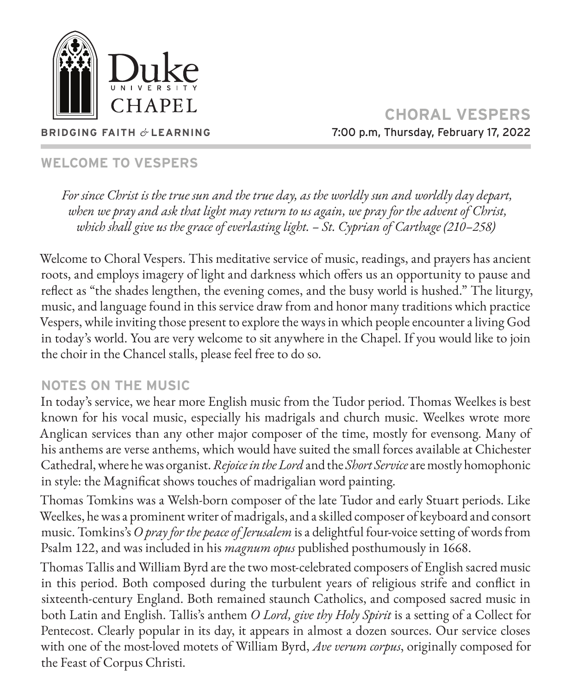

**CHORAL VESPERS** 7:00 p.m, Thursday, February 17, 2022

# **WELCOME TO VESPERS**

**BRIDGING FAITH** *&* **LEARNING**

*For since Christ is the true sun and the true day, as the worldly sun and worldly day depart, when we pray and ask that light may return to us again, we pray for the advent of Christ, which shall give us the grace of everlasting light. – St. Cyprian of Carthage (210–258)*

Welcome to Choral Vespers. This meditative service of music, readings, and prayers has ancient roots, and employs imagery of light and darkness which offers us an opportunity to pause and reflect as "the shades lengthen, the evening comes, and the busy world is hushed." The liturgy, music, and language found in this service draw from and honor many traditions which practice Vespers, while inviting those present to explore the ways in which people encounter a living God in today's world. You are very welcome to sit anywhere in the Chapel. If you would like to join the choir in the Chancel stalls, please feel free to do so.

### **NOTES ON THE MUSIC**

In today's service, we hear more English music from the Tudor period. Thomas Weelkes is best known for his vocal music, especially his madrigals and church music. Weelkes wrote more Anglican services than any other major composer of the time, mostly for evensong. Many of his anthems are verse anthems, which would have suited the small forces available at Chichester Cathedral, where he was organist. *Rejoice in the Lord* and the *Short Service* are mostly homophonic in style: the Magnificat shows touches of madrigalian word painting.

Thomas Tomkins was a Welsh-born composer of the late Tudor and early Stuart periods. Like Weelkes, he was a prominent writer of madrigals, and a skilled composer of keyboard and consort music. Tomkins's *O pray for the peace of Jerusalem* is a delightful four-voice setting of words from Psalm 122, and was included in his *magnum opus* published posthumously in 1668.

Thomas Tallis and William Byrd are the two most-celebrated composers of English sacred music in this period. Both composed during the turbulent years of religious strife and conflict in sixteenth-century England. Both remained staunch Catholics, and composed sacred music in both Latin and English. Tallis's anthem *O Lord, give thy Holy Spirit* is a setting of a Collect for Pentecost. Clearly popular in its day, it appears in almost a dozen sources. Our service closes with one of the most-loved motets of William Byrd, *Ave verum corpus*, originally composed for the Feast of Corpus Christi.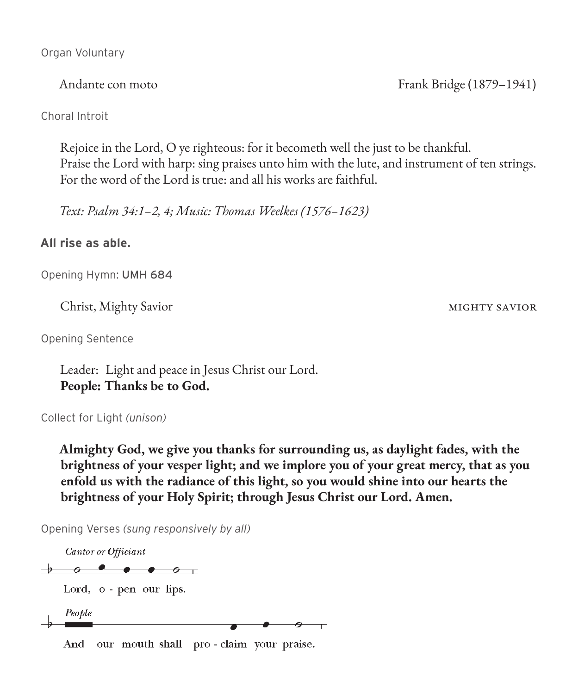Organ Voluntary

Andante con moto Frank Bridge (1879–1941)

Choral Introit

Rejoice in the Lord, O ye righteous: for it becometh well the just to be thankful. Praise the Lord with harp: sing praises unto him with the lute, and instrument of ten strings. For the word of the Lord is true: and all his works are faithful.

*Text: Psalm 34:1–2, 4; Music: Thomas Weelkes (1576–1623)*

#### **All rise as able.**

Opening Hymn: UMH 684

Christ, Mighty Savior mighty savior

Opening Sentence

Leader: Light and peace in Jesus Christ our Lord. **People: Thanks be to God.**

Collect for Light *(unison)*

**Almighty God, we give you thanks for surrounding us, as daylight fades, with the brightness of your vesper light; and we implore you of your great mercy, that as you enfold us with the radiance of this light, so you would shine into our hearts the brightness of your Holy Spirit; through Jesus Christ our Lord. Amen.**

Opening Verses *(sung responsively by all)*

Cantor or Officiant

 $\rightarrow$   $\circ$   $\bullet$   $\bullet$   $\circ$   $\quad$ 

Lord, o - pen our lips.

People  $\circ$   $-$ 

And our mouth shall pro-claim your praise.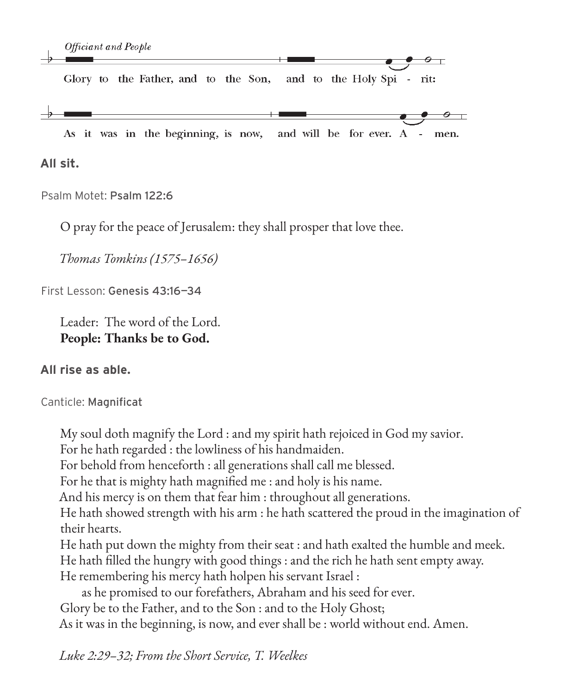Glory to the Father, and to the Son, and to the Holy Spi - rit:

As it was in the beginning, is now, and will be for ever. A men.

**All sit.**

Psalm Motet: Psalm 122:6

O pray for the peace of Jerusalem: they shall prosper that love thee.

*Thomas Tomkins (1575–1656)*

First Lesson: Genesis 43:16—34

Leader: The word of the Lord. **People: Thanks be to God.**

#### **All rise as able.**

Canticle: Magnificat

My soul doth magnify the Lord : and my spirit hath rejoiced in God my savior.

For he hath regarded : the lowliness of his handmaiden.

For behold from henceforth : all generations shall call me blessed.

For he that is mighty hath magnified me : and holy is his name.

And his mercy is on them that fear him : throughout all generations.

He hath showed strength with his arm : he hath scattered the proud in the imagination of their hearts.

He hath put down the mighty from their seat : and hath exalted the humble and meek.

He hath filled the hungry with good things : and the rich he hath sent empty away.

He remembering his mercy hath holpen his servant Israel :

as he promised to our forefathers, Abraham and his seed for ever. Glory be to the Father, and to the Son : and to the Holy Ghost; As it was in the beginning, is now, and ever shall be : world without end. Amen.

*Luke 2:29–32; From the Short Service, T. Weelkes*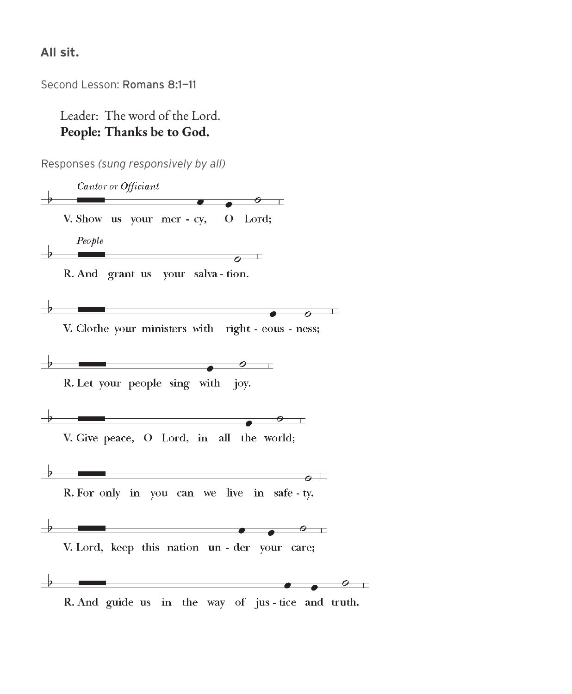#### **All sit.**

Second Lesson: Romans 8:1—11

Leader: The word of the Lord. **People: Thanks be to God.**

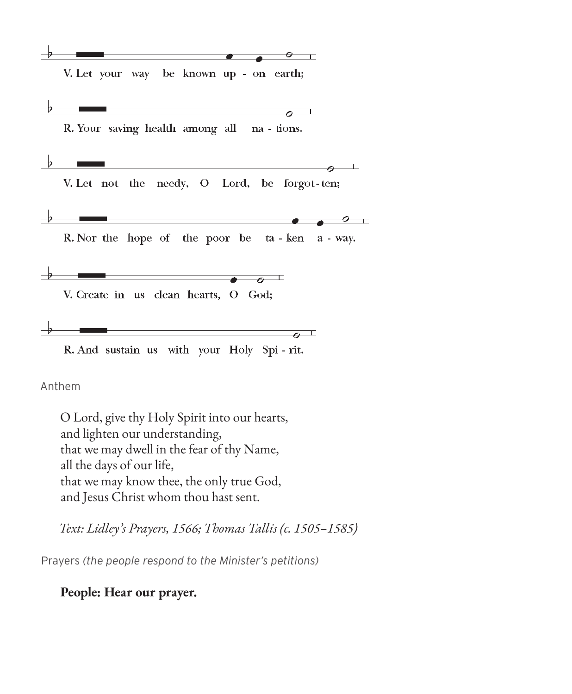V. Let your way be known up - on earth;

ο T



V. Let not the needy, O Lord, be forgot-ten;

 $\circ$   $\top$ 

R. Nor the hope of the poor be ta - ken a - way.

 $\overline{\phantom{a}}$  $\sigma$ V. Create in us clean hearts, O God;

 $\overline{\bullet}$ R. And sustain us with your Holy Spi - rit.

Anthem

O Lord, give thy Holy Spirit into our hearts, and lighten our understanding, that we may dwell in the fear of thy Name, all the days of our life, that we may know thee, the only true God, and Jesus Christ whom thou hast sent.

*Text: Lidley's Prayers, 1566; Thomas Tallis (c. 1505–1585)*

Prayers *(the people respond to the Minister's petitions)*

**People: Hear our prayer.**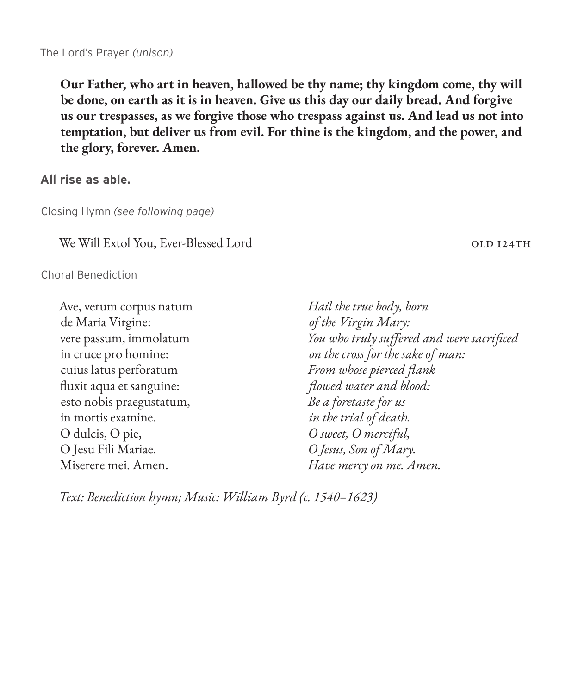**Our Father, who art in heaven, hallowed be thy name; thy kingdom come, thy will be done, on earth as it is in heaven. Give us this day our daily bread. And forgive us our trespasses, as we forgive those who trespass against us. And lead us not into temptation, but deliver us from evil. For thine is the kingdom, and the power, and the glory, forever. Amen.**

**All rise as able.** 

Closing Hymn *(see following page)*

We Will Extol You, Ever-Blessed Lord old 124th

Choral Benediction

Ave, verum corpus natum de Maria Virgine: vere passum, immolatum in cruce pro homine: cuius latus perforatum fluxit aqua et sanguine: esto nobis praegustatum, in mortis examine. O dulcis, O pie, O Jesu Fili Mariae. Miserere mei. Amen. *Hail the true body, born of the Virgin Mary: You who truly suffered and were sacrificed on the cross for the sake of man: From whose pierced flank flowed water and blood: Be a foretaste for us in the trial of death. O sweet, O merciful, O Jesus, Son of Mary. Have mercy on me. Amen.*

*Text: Benediction hymn; Music: William Byrd (c. 1540–1623)*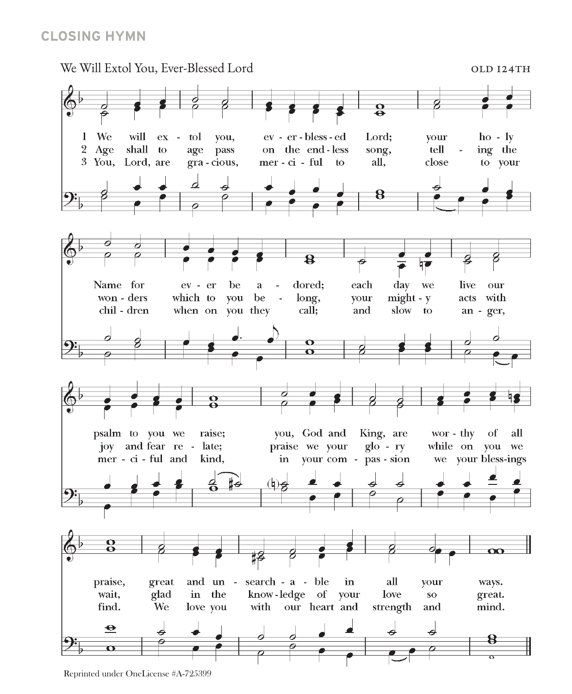#### **CLOSING HYMN**



Reprinted under OneLicense #A-725399